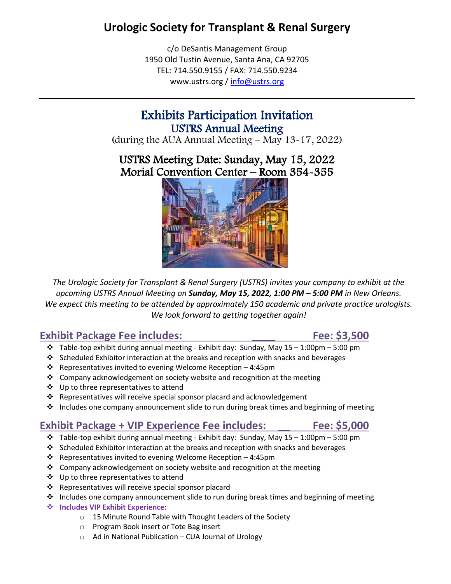# **Urologic Society for Transplant & Renal Surgery**

c/o DeSantis Management Group 1950 Old Tustin Avenue, Santa Ana, CA 92705 TEL: 714.550.9155 / FAX: 714.550.9234 www.ustrs.org / [info@ustrs.org](mailto:info@ustrs.org)

## Exhibits Participation Invitation USTRS Annual Meeting

(during the AUA Annual Meeting – May 13-17, 2022)

## USTRS Meeting Date: Sunday, May 15, 2022 Morial Convention Center – Room 354-355



*The Urologic Society for Transplant & Renal Surgery (USTRS) invites your company to exhibit at the upcoming USTRS Annual Meeting on Sunday, May 15, 2022, 1:00 PM – 5:00 PM in New Orleans. We expect this meeting to be attended by approximately 150 academic and private practice urologists. We look forward to getting together again!*

## **Exhibit Package Fee includes:** The Contract Tee: \$3,500

- ❖ Table-top exhibit during annual meeting Exhibit day: Sunday, May 15 1:00pm 5:00 pm
- ❖ Scheduled Exhibitor interaction at the breaks and reception with snacks and beverages
- ❖ Representatives invited to evening Welcome Reception 4:45pm
- ❖ Company acknowledgement on society website and recognition at the meeting
- ❖ Up to three representatives to attend
- ❖ Representatives will receive special sponsor placard and acknowledgement
- ❖ Includes one company announcement slide to run during break times and beginning of meeting

## **Exhibit Package + VIP Experience Fee includes: \_\_ Fee: \$5,000**

- ❖ Table-top exhibit during annual meeting Exhibit day: Sunday, May 15 1:00pm 5:00 pm
- ❖ Scheduled Exhibitor interaction at the breaks and reception with snacks and beverages
- ❖ Representatives invited to evening Welcome Reception 4:45pm
- ❖ Company acknowledgement on society website and recognition at the meeting
- ❖ Up to three representatives to attend
- ❖ Representatives will receive special sponsor placard
- ❖ Includes one company announcement slide to run during break times and beginning of meeting
- ❖ **Includes VIP Exhibit Experience:**
	- o 15 Minute Round Table with Thought Leaders of the Society
	- o Program Book insert or Tote Bag insert
	- o Ad in National Publication CUA Journal of Urology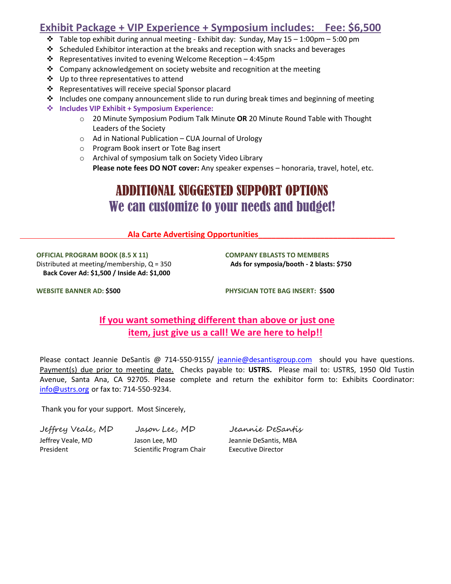## **Exhibit Package + VIP Experience + Symposium includes: Fee: \$6,500**

- ❖ Table top exhibit during annual meeting Exhibit day: Sunday, May 15 1:00pm 5:00 pm
- ❖ Scheduled Exhibitor interaction at the breaks and reception with snacks and beverages
- ❖ Representatives invited to evening Welcome Reception 4:45pm
- ❖ Company acknowledgement on society website and recognition at the meeting
- ❖ Up to three representatives to attend
- ❖ Representatives will receive special Sponsor placard
- ❖ Includes one company announcement slide to run during break times and beginning of meeting
- ❖ **Includes VIP Exhibit + Symposium Experience:**
	- o 20 Minute Symposium Podium Talk Minute **OR** 20 Minute Round Table with Thought Leaders of the Society
	- o Ad in National Publication CUA Journal of Urology
	- o Program Book insert or Tote Bag insert
	- o Archival of symposium talk on Society Video Library **Please note fees DO NOT cover:** Any speaker expenses – honoraria, travel, hotel, etc.

## ADDITIONAL SUGGESTED SUPPORT OPTIONS We can customize to your needs and budget!

#### **Ala Carte Advertising Opportunities**

**OFFICIAL PROGRAM BOOK (8.5 X 11) COMPANY EBLASTS TO MEMBERS** Distributed at meeting/membership, Q = 350 **Ads for symposia/booth - 2 blasts: \$750 Back Cover Ad: \$1,500 / Inside Ad: \$1,000**

**WEBSITE BANNER AD: \$500 PHYSICIAN TOTE BAG INSERT: \$500**

## **If you want something different than above or just one item, just give us a call! We are here to help!!**

Please contact Jeannie DeSantis @ 714-550-9155/ [jeannie@desantisgroup.com](mailto:jeannie@desantisgroup.com) should you have questions. Payment(s) due prior to meeting date. Checks payable to: **USTRS.** Please mail to: USTRS, 1950 Old Tustin Avenue, Santa Ana, CA 92705. Please complete and return the exhibitor form to: Exhibits Coordinator: [info@ustrs.org](mailto:info@ustrs.org) or fax to: 714-550-9234.

Thank you for your support. Most Sincerely,

Jeffrey Veale, MD Jason Lee, MD Jeannie DeSantis, MBA President Scientific Program Chair Executive Director

Jeffrey Veale, MD Jason Lee, MD Jeannie DeSantis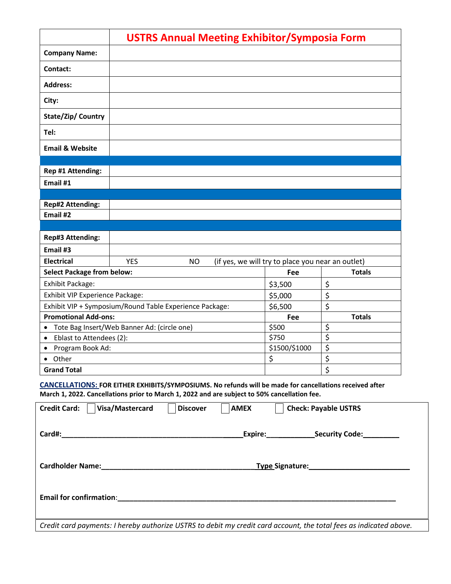|                                                         | <b>USTRS Annual Meeting Exhibitor/Symposia Form</b>                                                                                                                                                     |             |                                                   |                                           |  |
|---------------------------------------------------------|---------------------------------------------------------------------------------------------------------------------------------------------------------------------------------------------------------|-------------|---------------------------------------------------|-------------------------------------------|--|
| <b>Company Name:</b>                                    |                                                                                                                                                                                                         |             |                                                   |                                           |  |
| Contact:                                                |                                                                                                                                                                                                         |             |                                                   |                                           |  |
| <b>Address:</b>                                         |                                                                                                                                                                                                         |             |                                                   |                                           |  |
| City:                                                   |                                                                                                                                                                                                         |             |                                                   |                                           |  |
| State/Zip/ Country                                      |                                                                                                                                                                                                         |             |                                                   |                                           |  |
| Tel:                                                    |                                                                                                                                                                                                         |             |                                                   |                                           |  |
| <b>Email &amp; Website</b>                              |                                                                                                                                                                                                         |             |                                                   |                                           |  |
|                                                         |                                                                                                                                                                                                         |             |                                                   |                                           |  |
| Rep #1 Attending:                                       |                                                                                                                                                                                                         |             |                                                   |                                           |  |
| Email #1                                                |                                                                                                                                                                                                         |             |                                                   |                                           |  |
| <b>Rep#2 Attending:</b>                                 |                                                                                                                                                                                                         |             |                                                   |                                           |  |
| Email #2                                                |                                                                                                                                                                                                         |             |                                                   |                                           |  |
|                                                         |                                                                                                                                                                                                         |             |                                                   |                                           |  |
| Rep#3 Attending:                                        |                                                                                                                                                                                                         |             |                                                   |                                           |  |
| Email #3                                                |                                                                                                                                                                                                         |             |                                                   |                                           |  |
| <b>Electrical</b>                                       | <b>YES</b><br><b>NO</b>                                                                                                                                                                                 |             | (if yes, we will try to place you near an outlet) |                                           |  |
| <b>Select Package from below:</b>                       |                                                                                                                                                                                                         |             | Fee                                               | <b>Totals</b>                             |  |
| Exhibit Package:                                        |                                                                                                                                                                                                         |             | \$3,500                                           | \$                                        |  |
| Exhibit VIP Experience Package:                         |                                                                                                                                                                                                         |             | \$5,000                                           | \$                                        |  |
| Exhibit VIP + Symposium/Round Table Experience Package: |                                                                                                                                                                                                         |             | \$6,500                                           | \$                                        |  |
| <b>Promotional Add-ons:</b>                             |                                                                                                                                                                                                         | Fee         | <b>Totals</b>                                     |                                           |  |
| Tote Bag Insert/Web Banner Ad: (circle one)             |                                                                                                                                                                                                         |             | \$500                                             | \$                                        |  |
| Eblast to Attendees (2):<br>$\bullet$                   |                                                                                                                                                                                                         |             | \$750                                             | \$                                        |  |
| Program Book Ad:                                        |                                                                                                                                                                                                         |             | \$1500/\$1000                                     | \$                                        |  |
| • Other                                                 | $\frac{\cosh \theta}{\sinh \theta}$                                                                                                                                                                     |             |                                                   |                                           |  |
| <b>Grand Total</b>                                      |                                                                                                                                                                                                         |             |                                                   |                                           |  |
|                                                         | CANCELLATIONS: FOR EITHER EXHIBITS/SYMPOSIUMS. No refunds will be made for cancellations received after<br>March 1, 2022. Cancellations prior to March 1, 2022 and are subject to 50% cancellation fee. |             |                                                   |                                           |  |
| <b>Credit Card:</b>                                     | <b>Discover</b><br>  Visa/Mastercard                                                                                                                                                                    | <b>AMEX</b> |                                                   | <b>Check: Payable USTRS</b>               |  |
|                                                         |                                                                                                                                                                                                         |             |                                                   | <b>Expire:</b> Security Code:             |  |
|                                                         |                                                                                                                                                                                                         |             |                                                   |                                           |  |
|                                                         |                                                                                                                                                                                                         |             |                                                   |                                           |  |
|                                                         |                                                                                                                                                                                                         |             |                                                   | Type Signature: Management Communications |  |
|                                                         |                                                                                                                                                                                                         |             |                                                   |                                           |  |
|                                                         |                                                                                                                                                                                                         |             |                                                   |                                           |  |
|                                                         |                                                                                                                                                                                                         |             |                                                   |                                           |  |
|                                                         |                                                                                                                                                                                                         |             |                                                   |                                           |  |
|                                                         | Credit card payments: I hereby authorize USTRS to debit my credit card account, the total fees as indicated above.                                                                                      |             |                                                   |                                           |  |